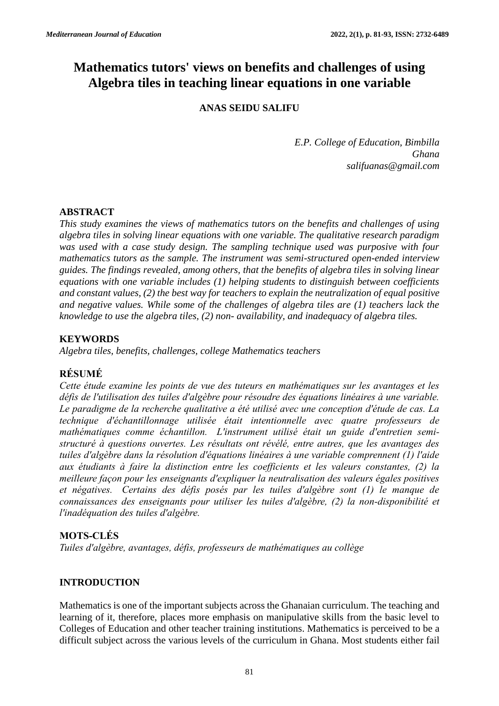# **Mathematics tutors' views on benefits and challenges of using Algebra tiles in teaching linear equations in one variable**

# **ANAS SEIDU SALIFU**

*E.P. College of Education, Bimbilla Ghana salifuanas@gmail.com*

# **ABSTRACT**

*This study examines the views of mathematics tutors on the benefits and challenges of using algebra tiles in solving linear equations with one variable. The qualitative research paradigm was used with a case study design. The sampling technique used was purposive with four mathematics tutors as the sample. The instrument was semi-structured open-ended interview guides. The findings revealed, among others, that the benefits of algebra tiles in solving linear equations with one variable includes (1) helping students to distinguish between coefficients and constant values, (2) the best way for teachers to explain the neutralization of equal positive and negative values. While some of the challenges of algebra tiles are (1) teachers lack the knowledge to use the algebra tiles, (2) non- availability, and inadequacy of algebra tiles.*

# **KEYWORDS**

*Algebra tiles, benefits, challenges, college Mathematics teachers*

# **RÉSUMÉ**

*Cette étude examine les points de vue des tuteurs en mathématiques sur les avantages et les défis de l'utilisation des tuiles d'algèbre pour résoudre des équations linéaires à une variable. Le paradigme de la recherche qualitative a été utilisé avec une conception d'étude de cas. La technique d'échantillonnage utilisée était intentionnelle avec quatre professeurs de mathématiques comme échantillon. L'instrument utilisé était un guide d'entretien semistructuré à questions ouvertes. Les résultats ont révélé, entre autres, que les avantages des tuiles d'algèbre dans la résolution d'équations linéaires à une variable comprennent (1) l'aide aux étudiants à faire la distinction entre les coefficients et les valeurs constantes, (2) la meilleure façon pour les enseignants d'expliquer la neutralisation des valeurs égales positives et négatives. Certains des défis posés par les tuiles d'algèbre sont (1) le manque de connaissances des enseignants pour utiliser les tuiles d'algèbre, (2) la non-disponibilité et l'inadéquation des tuiles d'algèbre.*

# **MOTS-CLÉS**

*Tuiles d'algèbre, avantages, défis, professeurs de mathématiques au collège*

# **INTRODUCTION**

Mathematics is one of the important subjects across the Ghanaian curriculum. The teaching and learning of it, therefore, places more emphasis on manipulative skills from the basic level to Colleges of Education and other teacher training institutions. Mathematics is perceived to be a difficult subject across the various levels of the curriculum in Ghana. Most students either fail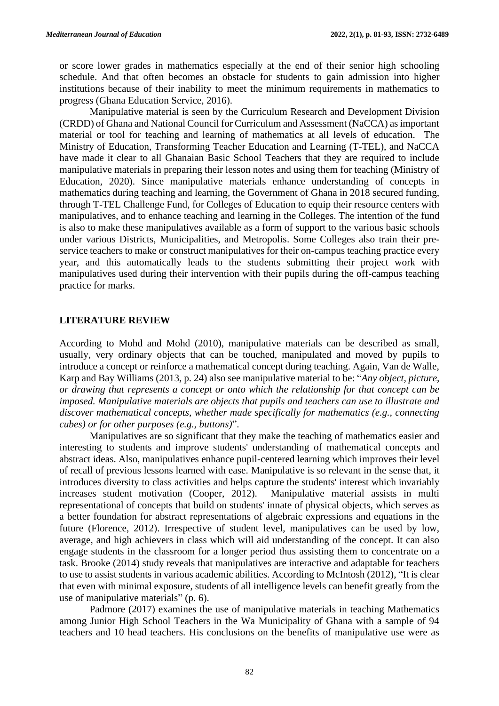or score lower grades in mathematics especially at the end of their senior high schooling schedule. And that often becomes an obstacle for students to gain admission into higher institutions because of their inability to meet the minimum requirements in mathematics to progress (Ghana Education Service, 2016).

Manipulative material is seen by the Curriculum Research and Development Division (CRDD) of Ghana and National Council for Curriculum and Assessment (NaCCA) as important material or tool for teaching and learning of mathematics at all levels of education. The Ministry of Education, Transforming Teacher Education and Learning (T-TEL), and NaCCA have made it clear to all Ghanaian Basic School Teachers that they are required to include manipulative materials in preparing their lesson notes and using them for teaching (Ministry of Education, 2020). Since manipulative materials enhance understanding of concepts in mathematics during teaching and learning, the Government of Ghana in 2018 secured funding, through T-TEL Challenge Fund, for Colleges of Education to equip their resource centers with manipulatives, and to enhance teaching and learning in the Colleges. The intention of the fund is also to make these manipulatives available as a form of support to the various basic schools under various Districts, Municipalities, and Metropolis. Some Colleges also train their preservice teachers to make or construct manipulatives for their on-campus teaching practice every year, and this automatically leads to the students submitting their project work with manipulatives used during their intervention with their pupils during the off-campus teaching practice for marks.

#### **LITERATURE REVIEW**

According to Mohd and Mohd (2010), manipulative materials can be described as small, usually, very ordinary objects that can be touched, manipulated and moved by pupils to introduce a concept or reinforce a mathematical concept during teaching. Again, Van de Walle, Karp and Bay Williams (2013, p. 24) also see manipulative material to be: "*Any object, picture, or drawing that represents a concept or onto which the relationship for that concept can be imposed. Manipulative materials are objects that pupils and teachers can use to illustrate and discover mathematical concepts, whether made specifically for mathematics (e.g., connecting cubes) or for other purposes (e.g., buttons)*".

Manipulatives are so significant that they make the teaching of mathematics easier and interesting to students and improve students' understanding of mathematical concepts and abstract ideas. Also, manipulatives enhance pupil-centered learning which improves their level of recall of previous lessons learned with ease. Manipulative is so relevant in the sense that, it introduces diversity to class activities and helps capture the students' interest which invariably increases student motivation (Cooper, 2012). Manipulative material assists in multi representational of concepts that build on students' innate of physical objects, which serves as a better foundation for abstract representations of algebraic expressions and equations in the future (Florence, 2012). Irrespective of student level, manipulatives can be used by low, average, and high achievers in class which will aid understanding of the concept. It can also engage students in the classroom for a longer period thus assisting them to concentrate on a task. Brooke (2014) study reveals that manipulatives are interactive and adaptable for teachers to use to assist students in various academic abilities. According to McIntosh (2012), "It is clear that even with minimal exposure, students of all intelligence levels can benefit greatly from the use of manipulative materials" (p. 6).

Padmore (2017) examines the use of manipulative materials in teaching Mathematics among Junior High School Teachers in the Wa Municipality of Ghana with a sample of 94 teachers and 10 head teachers. His conclusions on the benefits of manipulative use were as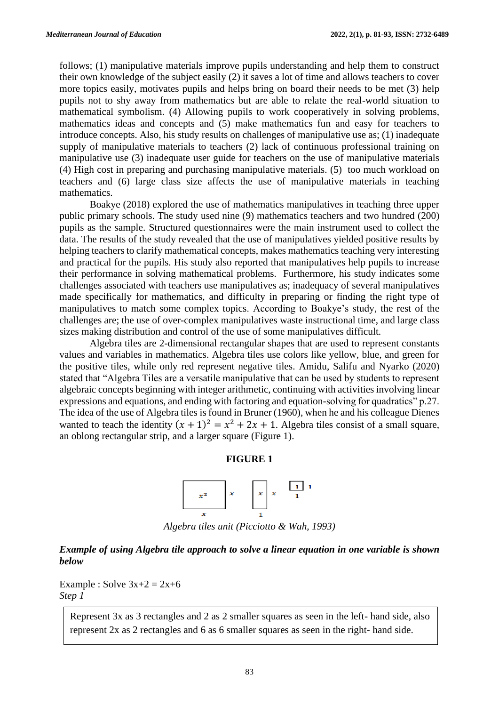follows; (1) manipulative materials improve pupils understanding and help them to construct their own knowledge of the subject easily (2) it saves a lot of time and allows teachers to cover more topics easily, motivates pupils and helps bring on board their needs to be met (3) help pupils not to shy away from mathematics but are able to relate the real-world situation to mathematical symbolism. (4) Allowing pupils to work cooperatively in solving problems, mathematics ideas and concepts and (5) make mathematics fun and easy for teachers to introduce concepts. Also, his study results on challenges of manipulative use as; (1) inadequate supply of manipulative materials to teachers (2) lack of continuous professional training on manipulative use (3) inadequate user guide for teachers on the use of manipulative materials (4) High cost in preparing and purchasing manipulative materials. (5) too much workload on teachers and (6) large class size affects the use of manipulative materials in teaching mathematics.

Boakye (2018) explored the use of mathematics manipulatives in teaching three upper public primary schools. The study used nine (9) mathematics teachers and two hundred (200) pupils as the sample. Structured questionnaires were the main instrument used to collect the data. The results of the study revealed that the use of manipulatives yielded positive results by helping teachers to clarify mathematical concepts, makes mathematics teaching very interesting and practical for the pupils. His study also reported that manipulatives help pupils to increase their performance in solving mathematical problems. Furthermore, his study indicates some challenges associated with teachers use manipulatives as; inadequacy of several manipulatives made specifically for mathematics, and difficulty in preparing or finding the right type of manipulatives to match some complex topics. According to Boakye's study, the rest of the challenges are; the use of over-complex manipulatives waste instructional time, and large class sizes making distribution and control of the use of some manipulatives difficult.

Algebra tiles are 2-dimensional rectangular shapes that are used to represent constants values and variables in mathematics. Algebra tiles use colors like yellow, blue, and green for the positive tiles, while only red represent negative tiles. Amidu, Salifu and Nyarko (2020) stated that "Algebra Tiles are a versatile manipulative that can be used by students to represent algebraic concepts beginning with integer arithmetic, continuing with activities involving linear expressions and equations, and ending with factoring and equation-solving for quadratics" p.27. The idea of the use of Algebra tiles is found in Bruner (1960), when he and his colleague Dienes wanted to teach the identity  $(x + 1)^2 = x^2 + 2x + 1$ . Algebra tiles consist of a small square, an oblong rectangular strip, and a larger square (Figure 1).

#### **FIGURE 1**



*Algebra tiles unit (Picciotto & Wah, 1993)*

## *Example of using Algebra tile approach to solve a linear equation in one variable is shown below*

Example : Solve  $3x+2 = 2x+6$ *Step 1*

Represent 3x as 3 rectangles and 2 as 2 smaller squares as seen in the left- hand side, also represent 2x as 2 rectangles and 6 as 6 smaller squares as seen in the right- hand side.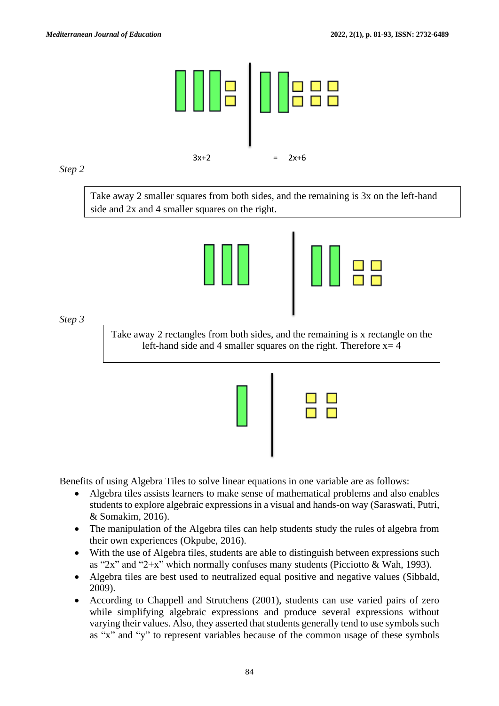

## *Step 2*

Take away 2 smaller squares from both sides, and the remaining is 3x on the left-hand side and 2x and 4 smaller squares on the right.



|  |  | ن ک |
|--|--|-----|
|  |  |     |

*Step 3*

Take away 2 rectangles from both sides, and the remaining is x rectangle on the left-hand side and 4 smaller squares on the right. Therefore  $x=4$ 



Benefits of using Algebra Tiles to solve linear equations in one variable are as follows:

- Algebra tiles assists learners to make sense of mathematical problems and also enables students to explore algebraic expressions in a visual and hands-on way (Saraswati, Putri, & Somakim, 2016).
- The manipulation of the Algebra tiles can help students study the rules of algebra from their own experiences (Okpube, 2016).
- With the use of Algebra tiles, students are able to distinguish between expressions such as "2x" and "2+x" which normally confuses many students (Picciotto & Wah, 1993).
- Algebra tiles are best used to neutralized equal positive and negative values (Sibbald, 2009).
- According to Chappell and Strutchens (2001), students can use varied pairs of zero while simplifying algebraic expressions and produce several expressions without varying their values. Also, they asserted that students generally tend to use symbols such as "x" and "y" to represent variables because of the common usage of these symbols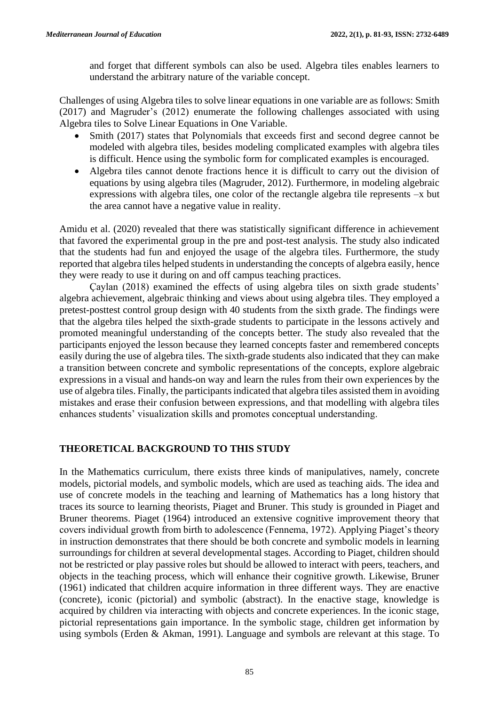and forget that different symbols can also be used. Algebra tiles enables learners to understand the arbitrary nature of the variable concept.

Challenges of using Algebra tiles to solve linear equations in one variable are as follows: Smith (2017) and Magruder's (2012) enumerate the following challenges associated with using Algebra tiles to Solve Linear Equations in One Variable.

- Smith (2017) states that Polynomials that exceeds first and second degree cannot be modeled with algebra tiles, besides modeling complicated examples with algebra tiles is difficult. Hence using the symbolic form for complicated examples is encouraged.
- Algebra tiles cannot denote fractions hence it is difficult to carry out the division of equations by using algebra tiles (Magruder, 2012). Furthermore, in modeling algebraic expressions with algebra tiles, one color of the rectangle algebra tile represents –x but the area cannot have a negative value in reality.

Amidu et al. (2020) revealed that there was statistically significant difference in achievement that favored the experimental group in the pre and post-test analysis. The study also indicated that the students had fun and enjoyed the usage of the algebra tiles. Furthermore, the study reported that algebra tiles helped students in understanding the concepts of algebra easily, hence they were ready to use it during on and off campus teaching practices.

Çaylan (2018) examined the effects of using algebra tiles on sixth grade students' algebra achievement, algebraic thinking and views about using algebra tiles. They employed a pretest-posttest control group design with 40 students from the sixth grade. The findings were that the algebra tiles helped the sixth-grade students to participate in the lessons actively and promoted meaningful understanding of the concepts better. The study also revealed that the participants enjoyed the lesson because they learned concepts faster and remembered concepts easily during the use of algebra tiles. The sixth-grade students also indicated that they can make a transition between concrete and symbolic representations of the concepts, explore algebraic expressions in a visual and hands-on way and learn the rules from their own experiences by the use of algebra tiles. Finally, the participants indicated that algebra tiles assisted them in avoiding mistakes and erase their confusion between expressions, and that modelling with algebra tiles enhances students' visualization skills and promotes conceptual understanding.

# **THEORETICAL BACKGROUND TO THIS STUDY**

In the Mathematics curriculum, there exists three kinds of manipulatives, namely, concrete models, pictorial models, and symbolic models, which are used as teaching aids. The idea and use of concrete models in the teaching and learning of Mathematics has a long history that traces its source to learning theorists, Piaget and Bruner. This study is grounded in Piaget and Bruner theorems. Piaget (1964) introduced an extensive cognitive improvement theory that covers individual growth from birth to adolescence (Fennema, 1972). Applying Piaget's theory in instruction demonstrates that there should be both concrete and symbolic models in learning surroundings for children at several developmental stages. According to Piaget, children should not be restricted or play passive roles but should be allowed to interact with peers, teachers, and objects in the teaching process, which will enhance their cognitive growth. Likewise, Bruner (1961) indicated that children acquire information in three different ways. They are enactive (concrete), iconic (pictorial) and symbolic (abstract). In the enactive stage, knowledge is acquired by children via interacting with objects and concrete experiences. In the iconic stage, pictorial representations gain importance. In the symbolic stage, children get information by using symbols (Erden & Akman, 1991). Language and symbols are relevant at this stage. To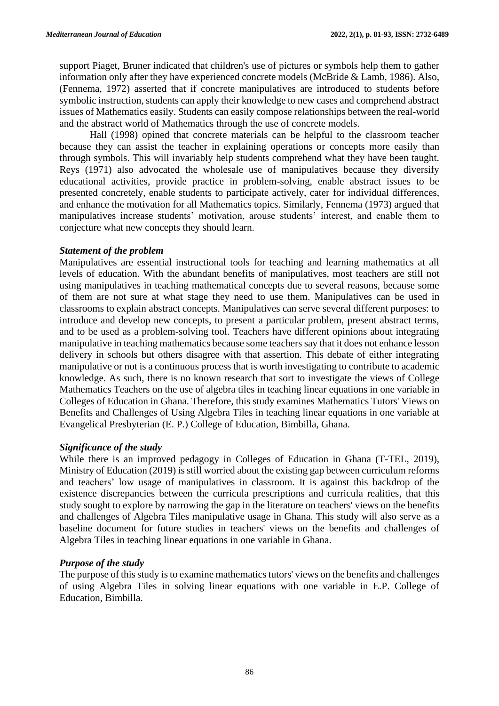support Piaget, Bruner indicated that children's use of pictures or symbols help them to gather information only after they have experienced concrete models (McBride & Lamb, 1986). Also, (Fennema, 1972) asserted that if concrete manipulatives are introduced to students before symbolic instruction, students can apply their knowledge to new cases and comprehend abstract issues of Mathematics easily. Students can easily compose relationships between the real-world and the abstract world of Mathematics through the use of concrete models.

Hall (1998) opined that concrete materials can be helpful to the classroom teacher because they can assist the teacher in explaining operations or concepts more easily than through symbols. This will invariably help students comprehend what they have been taught. Reys (1971) also advocated the wholesale use of manipulatives because they diversify educational activities, provide practice in problem-solving, enable abstract issues to be presented concretely, enable students to participate actively, cater for individual differences, and enhance the motivation for all Mathematics topics. Similarly, Fennema (1973) argued that manipulatives increase students' motivation, arouse students' interest, and enable them to conjecture what new concepts they should learn.

### *Statement of the problem*

Manipulatives are essential instructional tools for teaching and learning mathematics at all levels of education. With the abundant benefits of manipulatives, most teachers are still not using manipulatives in teaching mathematical concepts due to several reasons, because some of them are not sure at what stage they need to use them. Manipulatives can be used in classrooms to explain abstract concepts. Manipulatives can serve several different purposes: to introduce and develop new concepts, to present a particular problem, present abstract terms, and to be used as a problem-solving tool. Teachers have different opinions about integrating manipulative in teaching mathematics because some teachers say that it does not enhance lesson delivery in schools but others disagree with that assertion. This debate of either integrating manipulative or not is a continuous process that is worth investigating to contribute to academic knowledge. As such, there is no known research that sort to investigate the views of College Mathematics Teachers on the use of algebra tiles in teaching linear equations in one variable in Colleges of Education in Ghana. Therefore, this study examines Mathematics Tutors' Views on Benefits and Challenges of Using Algebra Tiles in teaching linear equations in one variable at Evangelical Presbyterian (E. P.) College of Education, Bimbilla, Ghana.

## *Significance of the study*

While there is an improved pedagogy in Colleges of Education in Ghana (T-TEL, 2019), Ministry of Education (2019) is still worried about the existing gap between curriculum reforms and teachers' low usage of manipulatives in classroom. It is against this backdrop of the existence discrepancies between the curricula prescriptions and curricula realities, that this study sought to explore by narrowing the gap in the literature on teachers' views on the benefits and challenges of Algebra Tiles manipulative usage in Ghana. This study will also serve as a baseline document for future studies in teachers' views on the benefits and challenges of Algebra Tiles in teaching linear equations in one variable in Ghana.

## *Purpose of the study*

The purpose of this study is to examine mathematics tutors' views on the benefits and challenges of using Algebra Tiles in solving linear equations with one variable in E.P. College of Education, Bimbilla.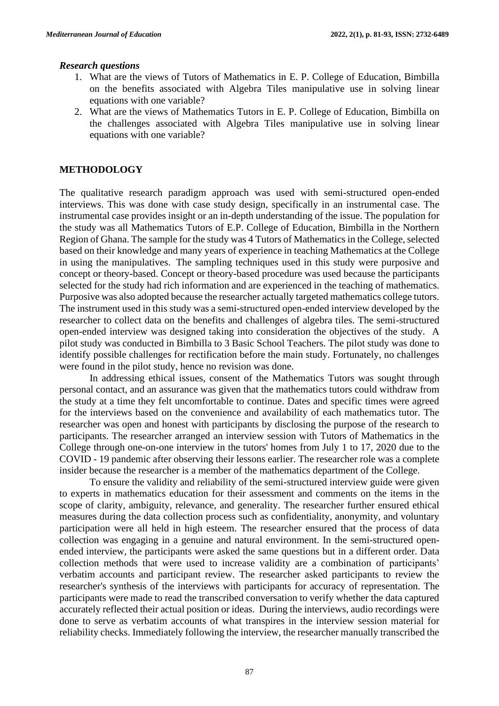#### *Research questions*

- 1. What are the views of Tutors of Mathematics in E. P. College of Education, Bimbilla on the benefits associated with Algebra Tiles manipulative use in solving linear equations with one variable?
- 2. What are the views of Mathematics Tutors in E. P. College of Education, Bimbilla on the challenges associated with Algebra Tiles manipulative use in solving linear equations with one variable?

## **METHODOLOGY**

The qualitative research paradigm approach was used with semi-structured open-ended interviews. This was done with case study design, specifically in an instrumental case. The instrumental case provides insight or an in-depth understanding of the issue. The population for the study was all Mathematics Tutors of E.P. College of Education, Bimbilla in the Northern Region of Ghana. The sample for the study was 4 Tutors of Mathematics in the College, selected based on their knowledge and many years of experience in teaching Mathematics at the College in using the manipulatives. The sampling techniques used in this study were purposive and concept or theory-based. Concept or theory-based procedure was used because the participants selected for the study had rich information and are experienced in the teaching of mathematics. Purposive was also adopted because the researcher actually targeted mathematics college tutors. The instrument used in this study was a semi-structured open-ended interview developed by the researcher to collect data on the benefits and challenges of algebra tiles. The semi-structured open-ended interview was designed taking into consideration the objectives of the study. A pilot study was conducted in Bimbilla to 3 Basic School Teachers. The pilot study was done to identify possible challenges for rectification before the main study. Fortunately, no challenges were found in the pilot study, hence no revision was done.

In addressing ethical issues, consent of the Mathematics Tutors was sought through personal contact, and an assurance was given that the mathematics tutors could withdraw from the study at a time they felt uncomfortable to continue. Dates and specific times were agreed for the interviews based on the convenience and availability of each mathematics tutor. The researcher was open and honest with participants by disclosing the purpose of the research to participants. The researcher arranged an interview session with Tutors of Mathematics in the College through one-on-one interview in the tutors' homes from July 1 to 17, 2020 due to the COVID - 19 pandemic after observing their lessons earlier. The researcher role was a complete insider because the researcher is a member of the mathematics department of the College.

To ensure the validity and reliability of the semi-structured interview guide were given to experts in mathematics education for their assessment and comments on the items in the scope of clarity, ambiguity, relevance, and generality. The researcher further ensured ethical measures during the data collection process such as confidentiality, anonymity, and voluntary participation were all held in high esteem. The researcher ensured that the process of data collection was engaging in a genuine and natural environment. In the semi-structured openended interview, the participants were asked the same questions but in a different order. Data collection methods that were used to increase validity are a combination of participants' verbatim accounts and participant review. The researcher asked participants to review the researcher's synthesis of the interviews with participants for accuracy of representation. The participants were made to read the transcribed conversation to verify whether the data captured accurately reflected their actual position or ideas. During the interviews, audio recordings were done to serve as verbatim accounts of what transpires in the interview session material for reliability checks. Immediately following the interview, the researcher manually transcribed the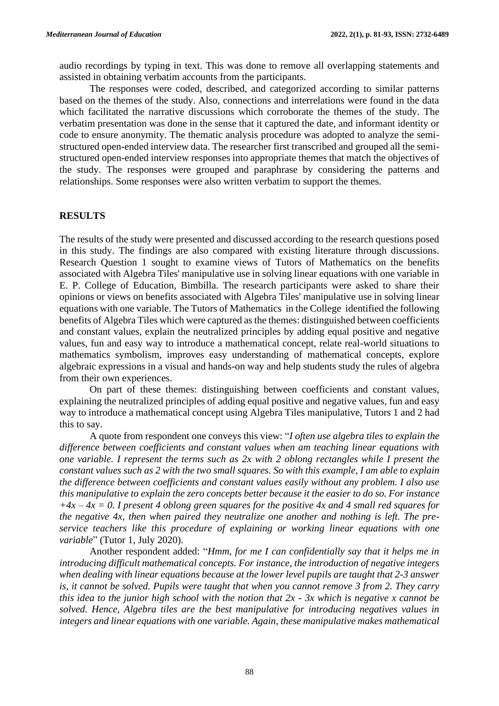audio recordings by typing in text. This was done to remove all overlapping statements and assisted in obtaining verbatim accounts from the participants.

The responses were coded, described, and categorized according to similar patterns based on the themes of the study. Also, connections and interrelations were found in the data which facilitated the narrative discussions which corroborate the themes of the study. The verbatim presentation was done in the sense that it captured the date, and informant identity or code to ensure anonymity. The thematic analysis procedure was adopted to analyze the semistructured open-ended interview data. The researcher first transcribed and grouped all the semistructured open-ended interview responses into appropriate themes that match the objectives of the study. The responses were grouped and paraphrase by considering the patterns and relationships. Some responses were also written verbatim to support the themes.

#### **RESULTS**

The results of the study were presented and discussed according to the research questions posed in this study. The findings are also compared with existing literature through discussions. Research Question 1 sought to examine views of Tutors of Mathematics on the benefits associated with Algebra Tiles' manipulative use in solving linear equations with one variable in E. P. College of Education, Bimbilla. The research participants were asked to share their opinions or views on benefits associated with Algebra Tiles' manipulative use in solving linear equations with one variable. The Tutors of Mathematics in the College identified the following benefits of Algebra Tiles which were captured as the themes: distinguished between coefficients and constant values, explain the neutralized principles by adding equal positive and negative values, fun and easy way to introduce a mathematical concept, relate real-world situations to mathematics symbolism, improves easy understanding of mathematical concepts, explore algebraic expressions in a visual and hands-on way and help students study the rules of algebra from their own experiences.

On part of these themes: distinguishing between coefficients and constant values, explaining the neutralized principles of adding equal positive and negative values, fun and easy way to introduce a mathematical concept using Algebra Tiles manipulative, Tutors 1 and 2 had this to say.

A quote from respondent one conveys this view: "*I often use algebra tiles to explain the difference between coefficients and constant values when am teaching linear equations with one variable. I represent the terms such as 2x with 2 oblong rectangles while I present the constant values such as 2 with the two small squares. So with this example, I am able to explain the difference between coefficients and constant values easily without any problem. I also use this manipulative to explain the zero concepts better because it the easier to do so. For instance +4x – 4x = 0. I present 4 oblong green squares for the positive 4x and 4 small red squares for the negative 4x, then when paired they neutralize one another and nothing is left. The preservice teachers like this procedure of explaining or working linear equations with one variable*" (Tutor 1, July 2020).

Another respondent added: "*Hmm, for me I can confidentially say that it helps me in introducing difficult mathematical concepts. For instance, the introduction of negative integers when dealing with linear equations because at the lower level pupils are taught that 2-3 answer is, it cannot be solved. Pupils were taught that when you cannot remove 3 from 2. They carry this idea to the junior high school with the notion that 2x - 3x which is negative x cannot be solved. Hence, Algebra tiles are the best manipulative for introducing negatives values in integers and linear equations with one variable. Again, these manipulative makes mathematical*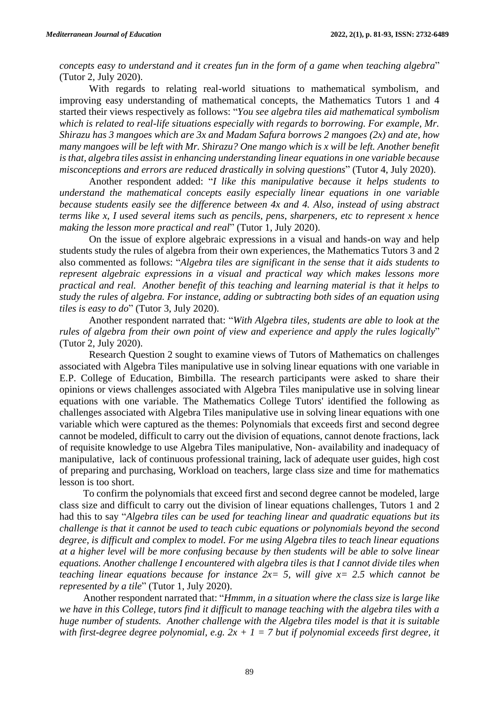*concepts easy to understand and it creates fun in the form of a game when teaching algebra*" (Tutor 2, July 2020).

With regards to relating real-world situations to mathematical symbolism, and improving easy understanding of mathematical concepts, the Mathematics Tutors 1 and 4 started their views respectively as follows: "*You see algebra tiles aid mathematical symbolism which is related to real-life situations especially with regards to borrowing. For example, Mr. Shirazu has 3 mangoes which are 3x and Madam Safura borrows 2 mangoes (2x) and ate, how many mangoes will be left with Mr. Shirazu? One mango which is x will be left. Another benefit is that, algebra tiles assist in enhancing understanding linear equations in one variable because misconceptions and errors are reduced drastically in solving questions*" (Tutor 4, July 2020).

Another respondent added: "*I like this manipulative because it helps students to understand the mathematical concepts easily especially linear equations in one variable because students easily see the difference between 4x and 4. Also, instead of using abstract terms like x, I used several items such as pencils, pens, sharpeners, etc to represent x hence making the lesson more practical and real*" (Tutor 1, July 2020).

On the issue of explore algebraic expressions in a visual and hands-on way and help students study the rules of algebra from their own experiences, the Mathematics Tutors 3 and 2 also commented as follows: "*Algebra tiles are significant in the sense that it aids students to represent algebraic expressions in a visual and practical way which makes lessons more practical and real. Another benefit of this teaching and learning material is that it helps to study the rules of algebra. For instance, adding or subtracting both sides of an equation using tiles is easy to do*" (Tutor 3, July 2020).

Another respondent narrated that: "*With Algebra tiles, students are able to look at the rules of algebra from their own point of view and experience and apply the rules logically*" (Tutor 2, July 2020).

Research Question 2 sought to examine views of Tutors of Mathematics on challenges associated with Algebra Tiles manipulative use in solving linear equations with one variable in E.P. College of Education, Bimbilla. The research participants were asked to share their opinions or views challenges associated with Algebra Tiles manipulative use in solving linear equations with one variable. The Mathematics College Tutors' identified the following as challenges associated with Algebra Tiles manipulative use in solving linear equations with one variable which were captured as the themes: Polynomials that exceeds first and second degree cannot be modeled, difficult to carry out the division of equations, cannot denote fractions, lack of requisite knowledge to use Algebra Tiles manipulative, Non- availability and inadequacy of manipulative, lack of continuous professional training, lack of adequate user guides, high cost of preparing and purchasing, Workload on teachers, large class size and time for mathematics lesson is too short.

To confirm the polynomials that exceed first and second degree cannot be modeled, large class size and difficult to carry out the division of linear equations challenges, Tutors 1 and 2 had this to say "*Algebra tiles can be used for teaching linear and quadratic equations but its challenge is that it cannot be used to teach cubic equations or polynomials beyond the second degree, is difficult and complex to model. For me using Algebra tiles to teach linear equations at a higher level will be more confusing because by then students will be able to solve linear equations. Another challenge I encountered with algebra tiles is that I cannot divide tiles when teaching linear equations because for instance*  $2x= 5$ *, will give*  $x= 2.5$  *which cannot be represented by a tile*" (Tutor 1, July 2020).

Another respondent narrated that: "*Hmmm, in a situation where the class size is large like we have in this College, tutors find it difficult to manage teaching with the algebra tiles with a huge number of students. Another challenge with the Algebra tiles model is that it is suitable*  with first-degree degree polynomial, e.g.  $2x + 1 = 7$  but if polynomial exceeds first degree, it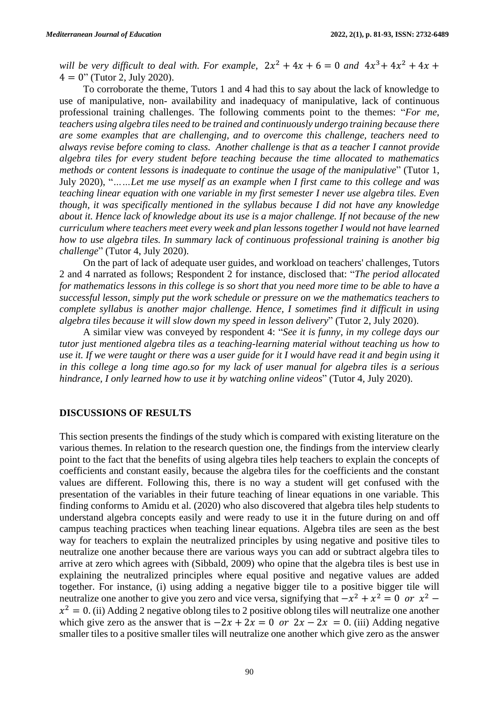will be very difficult to deal with. For example,  $2x^2 + 4x + 6 = 0$  and  $4x^3 + 4x^2 + 4x +$  $4 = 0$ " (Tutor 2, July 2020).

To corroborate the theme, Tutors 1 and 4 had this to say about the lack of knowledge to use of manipulative, non- availability and inadequacy of manipulative, lack of continuous professional training challenges. The following comments point to the themes: "*For me, teachers using algebra tiles need to be trained and continuously undergo training because there are some examples that are challenging, and to overcome this challenge, teachers need to always revise before coming to class. Another challenge is that as a teacher I cannot provide algebra tiles for every student before teaching because the time allocated to mathematics methods or content lessons is inadequate to continue the usage of the manipulative*" (Tutor 1, July 2020), "*……Let me use myself as an example when I first came to this college and was teaching linear equation with one variable in my first semester I never use algebra tiles. Even though, it was specifically mentioned in the syllabus because I did not have any knowledge about it. Hence lack of knowledge about its use is a major challenge. If not because of the new curriculum where teachers meet every week and plan lessons together I would not have learned how to use algebra tiles. In summary lack of continuous professional training is another big challenge*" (Tutor 4, July 2020).

On the part of lack of adequate user guides, and workload on teachers' challenges, Tutors 2 and 4 narrated as follows; Respondent 2 for instance, disclosed that: "*The period allocated for mathematics lessons in this college is so short that you need more time to be able to have a successful lesson, simply put the work schedule or pressure on we the mathematics teachers to complete syllabus is another major challenge. Hence, I sometimes find it difficult in using algebra tiles because it will slow down my speed in lesson delivery*" (Tutor 2, July 2020).

A similar view was conveyed by respondent 4: "*See it is funny, in my college days our tutor just mentioned algebra tiles as a teaching-learning material without teaching us how to use it. If we were taught or there was a user guide for it I would have read it and begin using it in this college a long time ago.so for my lack of user manual for algebra tiles is a serious hindrance, I only learned how to use it by watching online videos*" (Tutor 4, July 2020).

#### **DISCUSSIONS OF RESULTS**

This section presents the findings of the study which is compared with existing literature on the various themes. In relation to the research question one, the findings from the interview clearly point to the fact that the benefits of using algebra tiles help teachers to explain the concepts of coefficients and constant easily, because the algebra tiles for the coefficients and the constant values are different. Following this, there is no way a student will get confused with the presentation of the variables in their future teaching of linear equations in one variable. This finding conforms to Amidu et al. (2020) who also discovered that algebra tiles help students to understand algebra concepts easily and were ready to use it in the future during on and off campus teaching practices when teaching linear equations. Algebra tiles are seen as the best way for teachers to explain the neutralized principles by using negative and positive tiles to neutralize one another because there are various ways you can add or subtract algebra tiles to arrive at zero which agrees with (Sibbald, 2009) who opine that the algebra tiles is best use in explaining the neutralized principles where equal positive and negative values are added together. For instance, (i) using adding a negative bigger tile to a positive bigger tile will neutralize one another to give you zero and vice versa, signifying that  $-x^2 + x^2 = 0$  or  $x^2$  –  $x^2 = 0$ . (ii) Adding 2 negative oblong tiles to 2 positive oblong tiles will neutralize one another which give zero as the answer that is  $-2x + 2x = 0$  or  $2x - 2x = 0$ . (iii) Adding negative smaller tiles to a positive smaller tiles will neutralize one another which give zero as the answer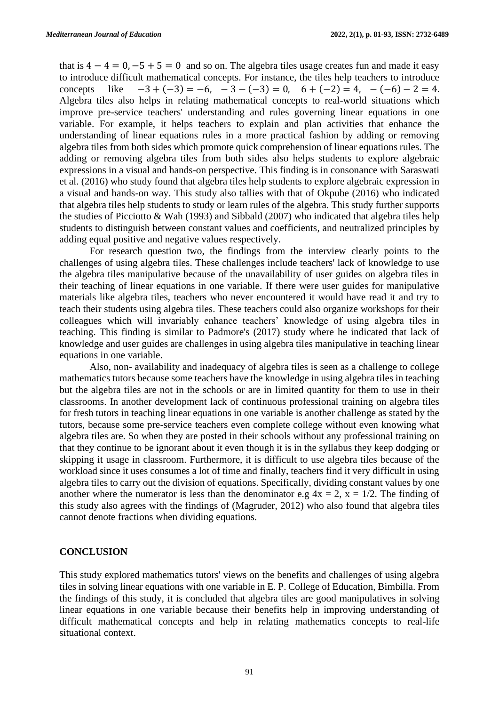that is  $4 - 4 = 0, -5 + 5 = 0$  and so on. The algebra tiles usage creates fun and made it easy to introduce difficult mathematical concepts. For instance, the tiles help teachers to introduce concepts like  $-3 + (-3) = -6$ ,  $-3 - (-3) = 0$ ,  $6 + (-2) = 4$ ,  $-(-6) - 2 = 4$ . Algebra tiles also helps in relating mathematical concepts to real-world situations which improve pre-service teachers' understanding and rules governing linear equations in one variable. For example, it helps teachers to explain and plan activities that enhance the understanding of linear equations rules in a more practical fashion by adding or removing algebra tiles from both sides which promote quick comprehension of linear equations rules. The adding or removing algebra tiles from both sides also helps students to explore algebraic expressions in a visual and hands-on perspective. This finding is in consonance with Saraswati et al. (2016) who study found that algebra tiles help students to explore algebraic expression in a visual and hands-on way. This study also tallies with that of Okpube (2016) who indicated that algebra tiles help students to study or learn rules of the algebra. This study further supports the studies of Picciotto & Wah (1993) and Sibbald (2007) who indicated that algebra tiles help students to distinguish between constant values and coefficients, and neutralized principles by adding equal positive and negative values respectively.

For research question two, the findings from the interview clearly points to the challenges of using algebra tiles. These challenges include teachers' lack of knowledge to use the algebra tiles manipulative because of the unavailability of user guides on algebra tiles in their teaching of linear equations in one variable. If there were user guides for manipulative materials like algebra tiles, teachers who never encountered it would have read it and try to teach their students using algebra tiles. These teachers could also organize workshops for their colleagues which will invariably enhance teachers' knowledge of using algebra tiles in teaching. This finding is similar to Padmore's (2017) study where he indicated that lack of knowledge and user guides are challenges in using algebra tiles manipulative in teaching linear equations in one variable.

Also, non- availability and inadequacy of algebra tiles is seen as a challenge to college mathematics tutors because some teachers have the knowledge in using algebra tiles in teaching but the algebra tiles are not in the schools or are in limited quantity for them to use in their classrooms. In another development lack of continuous professional training on algebra tiles for fresh tutors in teaching linear equations in one variable is another challenge as stated by the tutors, because some pre-service teachers even complete college without even knowing what algebra tiles are. So when they are posted in their schools without any professional training on that they continue to be ignorant about it even though it is in the syllabus they keep dodging or skipping it usage in classroom. Furthermore, it is difficult to use algebra tiles because of the workload since it uses consumes a lot of time and finally, teachers find it very difficult in using algebra tiles to carry out the division of equations. Specifically, dividing constant values by one another where the numerator is less than the denominator e.g  $4x = 2$ ,  $x = 1/2$ . The finding of this study also agrees with the findings of (Magruder, 2012) who also found that algebra tiles cannot denote fractions when dividing equations.

#### **CONCLUSION**

This study explored mathematics tutors' views on the benefits and challenges of using algebra tiles in solving linear equations with one variable in E. P. College of Education, Bimbilla. From the findings of this study, it is concluded that algebra tiles are good manipulatives in solving linear equations in one variable because their benefits help in improving understanding of difficult mathematical concepts and help in relating mathematics concepts to real-life situational context.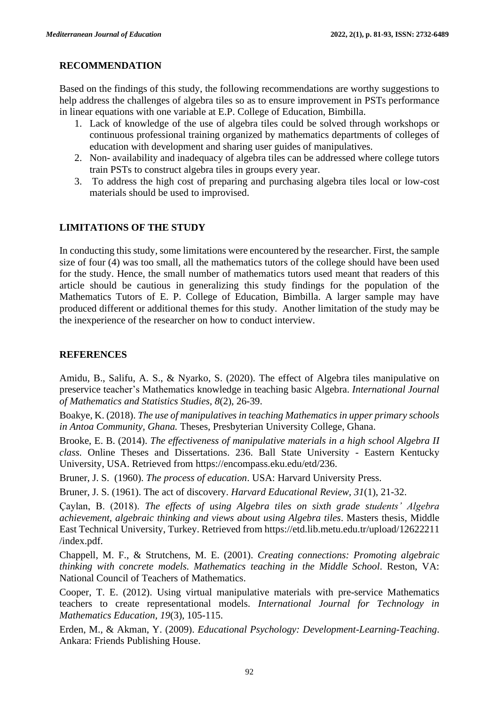## **RECOMMENDATION**

Based on the findings of this study, the following recommendations are worthy suggestions to help address the challenges of algebra tiles so as to ensure improvement in PSTs performance in linear equations with one variable at E.P. College of Education, Bimbilla.

- 1. Lack of knowledge of the use of algebra tiles could be solved through workshops or continuous professional training organized by mathematics departments of colleges of education with development and sharing user guides of manipulatives.
- 2. Non- availability and inadequacy of algebra tiles can be addressed where college tutors train PSTs to construct algebra tiles in groups every year.
- 3. To address the high cost of preparing and purchasing algebra tiles local or low-cost materials should be used to improvised.

# **LIMITATIONS OF THE STUDY**

In conducting this study, some limitations were encountered by the researcher. First, the sample size of four (4) was too small, all the mathematics tutors of the college should have been used for the study. Hence, the small number of mathematics tutors used meant that readers of this article should be cautious in generalizing this study findings for the population of the Mathematics Tutors of E. P. College of Education, Bimbilla. A larger sample may have produced different or additional themes for this study. Another limitation of the study may be the inexperience of the researcher on how to conduct interview.

# **REFERENCES**

Amidu, B., Salifu, A. S., & Nyarko, S. (2020). The effect of Algebra tiles manipulative on preservice teacher's Mathematics knowledge in teaching basic Algebra. *International Journal of Mathematics and Statistics Studies, 8*(2), 26-39.

Boakye, K. (2018). *The use of manipulatives in teaching Mathematics in upper primary schools in Antoa Community, Ghana.* Theses, Presbyterian University College, Ghana.

Brooke, E. B. (2014). *The effectiveness of manipulative materials in a high school Algebra II class.* Online Theses and Dissertations. 236. Ball State University - Eastern Kentucky University, USA. Retrieved from [https://encompass.eku.edu/etd/236.](https://encompass.eku.edu/etd/236)

Bruner, J. S. (1960). *The process of education*. USA: Harvard University Press.

Bruner, J. S. (1961). The act of discovery. *Harvard Educational Review, 31*(1), 21-32.

Çaylan, B. (2018). *The effects of using Algebra tiles on sixth grade students' Algebra achievement, algebraic thinking and views about using Algebra tiles*. Masters thesis, Middle East Technical University, Turkey. Retrieved from [https://etd.lib.metu.edu.tr/upload/1](https://etd.lib.metu.edu.tr/upload/)2622211 /index.pdf.

Chappell, M. F., & Strutchens, M. E. (2001). *Creating connections: Promoting algebraic thinking with concrete models. Mathematics teaching in the Middle School*. Reston, VA: National Council of Teachers of Mathematics.

Cooper, T. E. (2012). Using virtual manipulative materials with pre-service Mathematics teachers to create representational models. *International Journal for Technology in Mathematics Education, 19*(3), 105-115.

Erden, M., & Akman, Y. (2009). *Educational Psychology: Development-Learning-Teaching*. Ankara: Friends Publishing House.